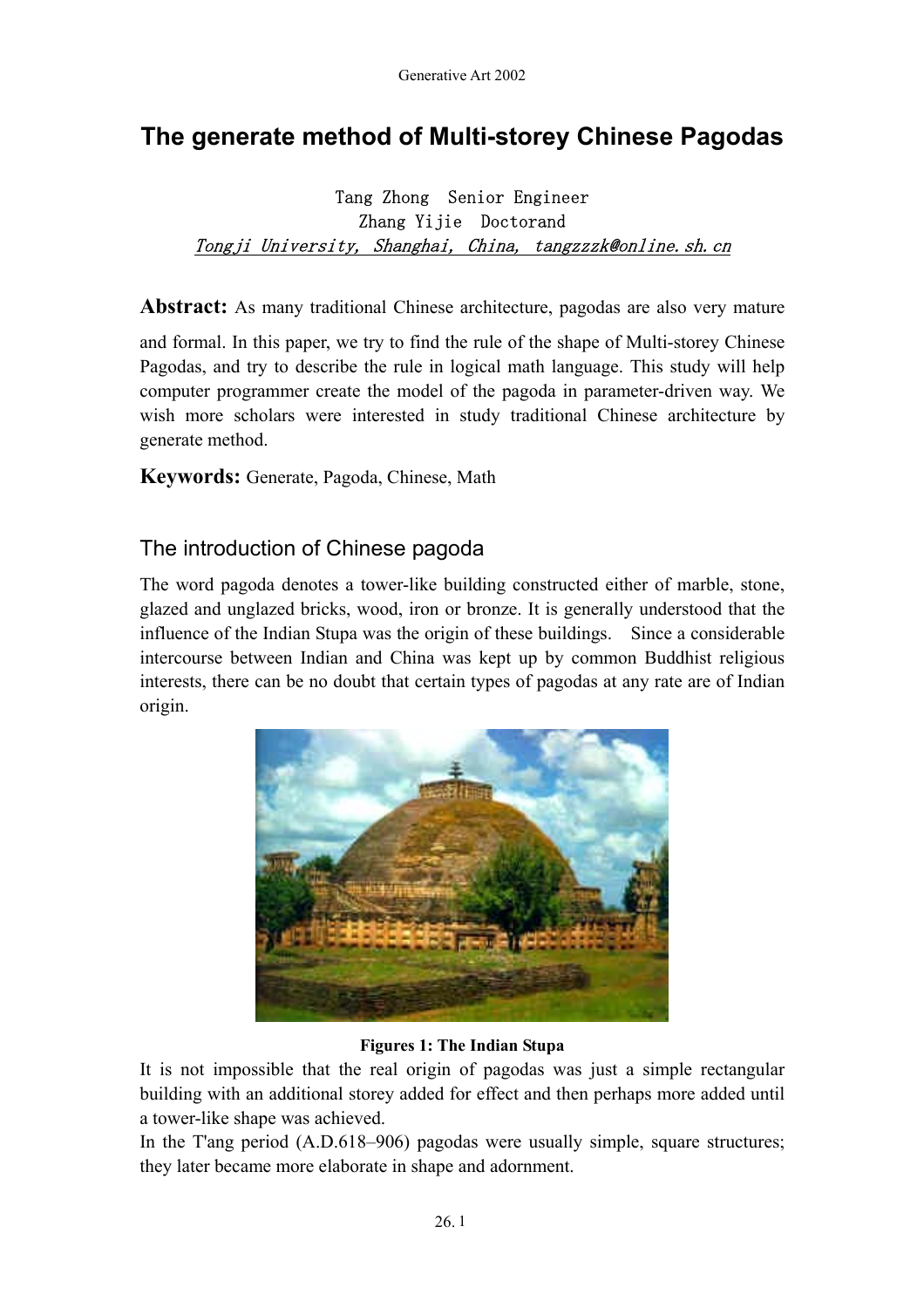# **The generate method of Multi-storey Chinese Pagodas**

### Tang Zhong Senior Engineer Zhang Yijie Doctorand Tongji University, Shanghai, China, tangzzzk@online.sh.cn

**Abstract:** As many traditional Chinese architecture, pagodas are also very mature

and formal. In this paper, we try to find the rule of the shape of Multi-storey Chinese Pagodas, and try to describe the rule in logical math language. This study will help computer programmer create the model of the pagoda in parameter-driven way. We wish more scholars were interested in study traditional Chinese architecture by generate method.

**Keywords:** Generate, Pagoda, Chinese, Math

### The introduction of Chinese pagoda

The word pagoda denotes a tower-like building constructed either of marble, stone, glazed and unglazed bricks, wood, iron or bronze. It is generally understood that the influence of the Indian Stupa was the origin of these buildings. Since a considerable intercourse between Indian and China was kept up by common Buddhist religious interests, there can be no doubt that certain types of pagodas at any rate are of Indian origin.



#### **Figures 1: The Indian Stupa**

It is not impossible that the real origin of pagodas was just a simple rectangular building with an additional storey added for effect and then perhaps more added until a tower-like shape was achieved.

In the T'ang period (A.D.618–906) pagodas were usually simple, square structures; they later became more elaborate in shape and adornment.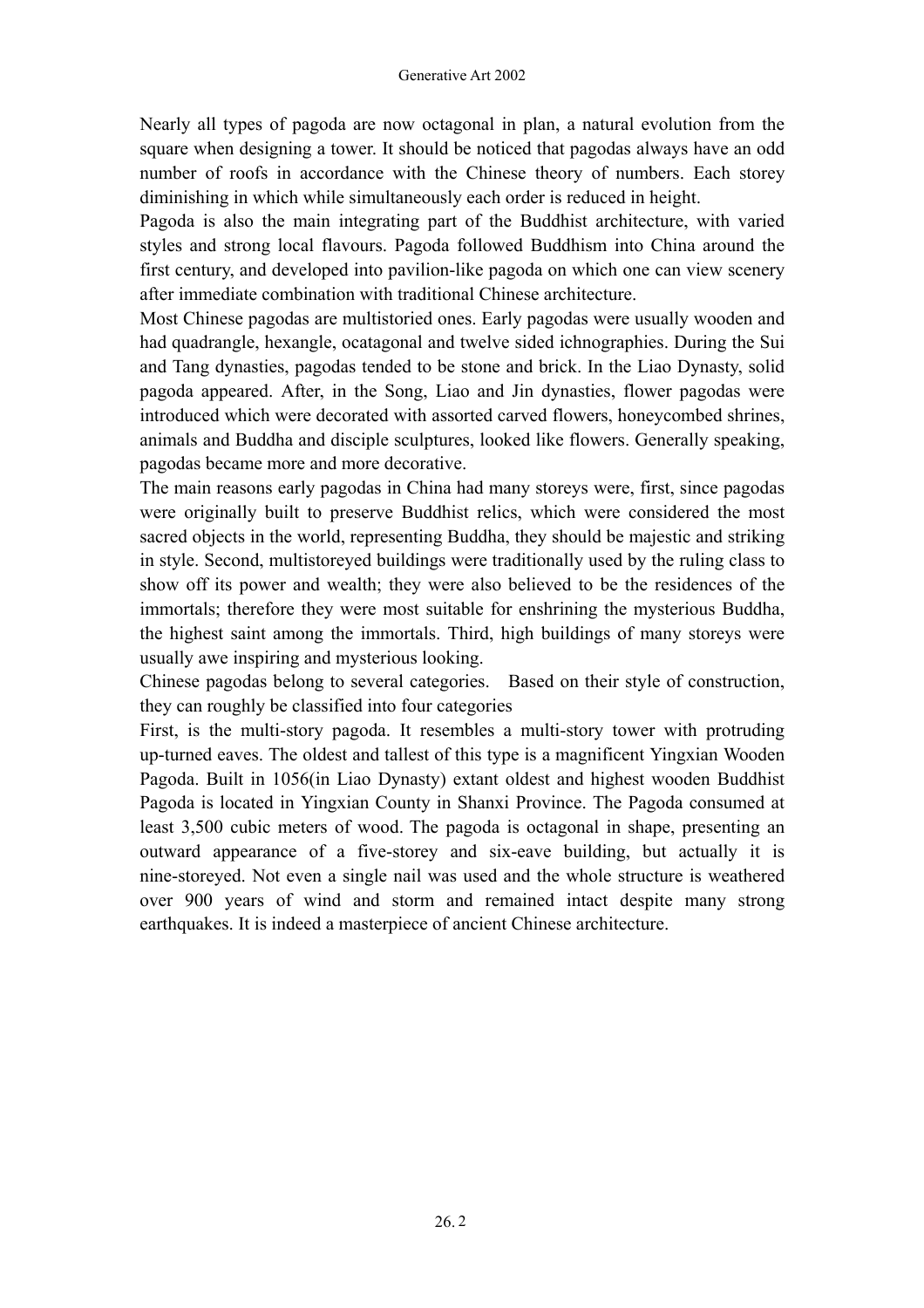Nearly all types of pagoda are now octagonal in plan, a natural evolution from the square when designing a tower. It should be noticed that pagodas always have an odd number of roofs in accordance with the Chinese theory of numbers. Each storey diminishing in which while simultaneously each order is reduced in height.

Pagoda is also the main integrating part of the Buddhist architecture, with varied styles and strong local flavours. Pagoda followed Buddhism into China around the first century, and developed into pavilion-like pagoda on which one can view scenery after immediate combination with traditional Chinese architecture.

Most Chinese pagodas are multistoried ones. Early pagodas were usually wooden and had quadrangle, hexangle, ocatagonal and twelve sided ichnographies. During the Sui and Tang dynasties, pagodas tended to be stone and brick. In the Liao Dynasty, solid pagoda appeared. After, in the Song, Liao and Jin dynasties, flower pagodas were introduced which were decorated with assorted carved flowers, honeycombed shrines, animals and Buddha and disciple sculptures, looked like flowers. Generally speaking, pagodas became more and more decorative.

The main reasons early pagodas in China had many storeys were, first, since pagodas were originally built to preserve Buddhist relics, which were considered the most sacred objects in the world, representing Buddha, they should be majestic and striking in style. Second, multistoreyed buildings were traditionally used by the ruling class to show off its power and wealth; they were also believed to be the residences of the immortals; therefore they were most suitable for enshrining the mysterious Buddha, the highest saint among the immortals. Third, high buildings of many storeys were usually awe inspiring and mysterious looking.

Chinese pagodas belong to several categories. Based on their style of construction, they can roughly be classified into four categories

First, is the multi-story pagoda. It resembles a multi-story tower with protruding up-turned eaves. The oldest and tallest of this type is a magnificent Yingxian Wooden Pagoda. Built in 1056(in Liao Dynasty) extant oldest and highest wooden Buddhist Pagoda is located in Yingxian County in Shanxi Province. The Pagoda consumed at least 3,500 cubic meters of wood. The pagoda is octagonal in shape, presenting an outward appearance of a five-storey and six-eave building, but actually it is nine-storeyed. Not even a single nail was used and the whole structure is weathered over 900 years of wind and storm and remained intact despite many strong earthquakes. It is indeed a masterpiece of ancient Chinese architecture.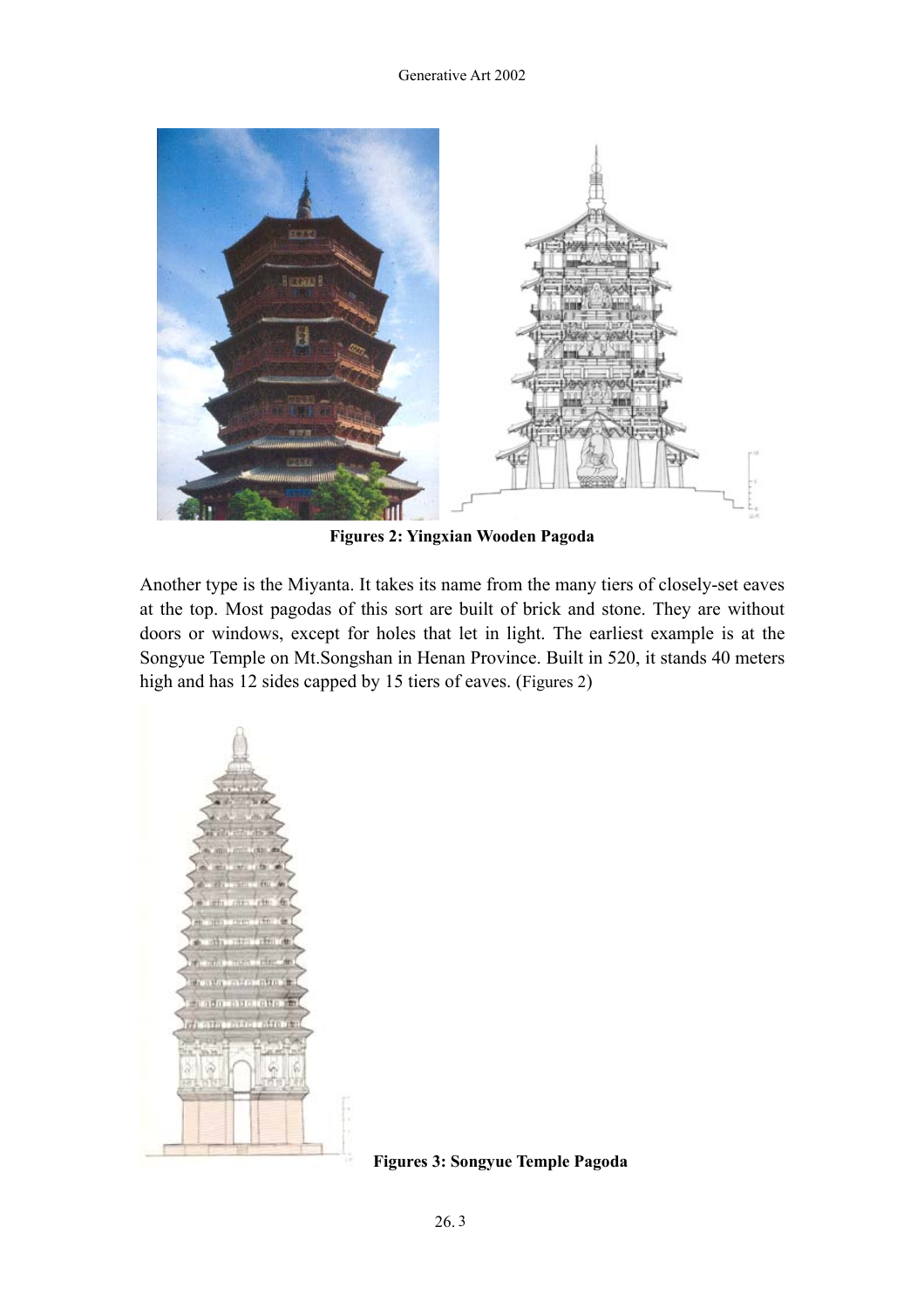

**Figures 2: Yingxian Wooden Pagoda** 

Another type is the Miyanta. It takes its name from the many tiers of closely-set eaves at the top. Most pagodas of this sort are built of brick and stone. They are without doors or windows, except for holes that let in light. The earliest example is at the Songyue Temple on Mt.Songshan in Henan Province. Built in 520, it stands 40 meters high and has 12 sides capped by 15 tiers of eaves. (Figures 2)



 **Figures 3: Songyue Temple Pagoda**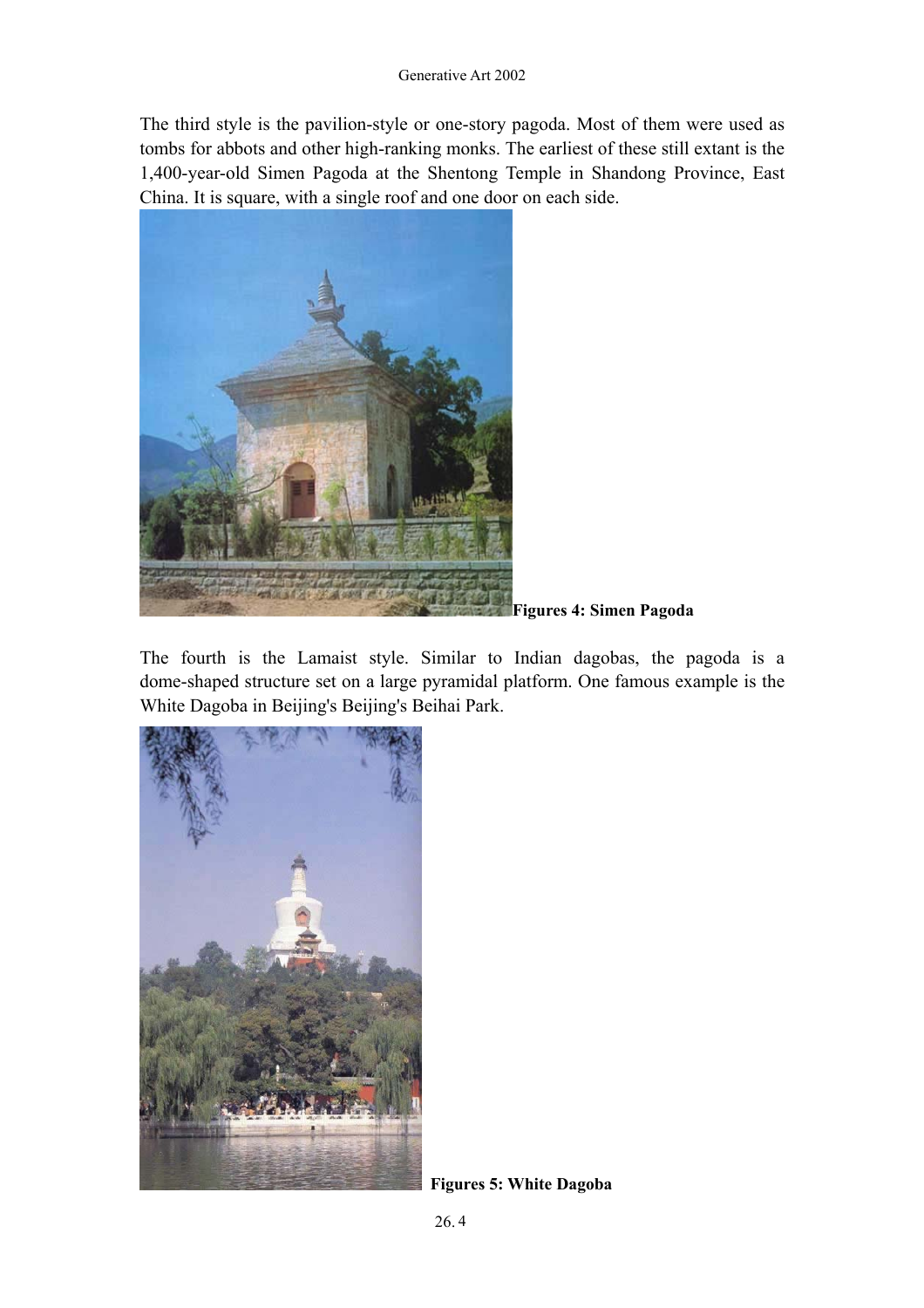The third style is the pavilion-style or one-story pagoda. Most of them were used as tombs for abbots and other high-ranking monks. The earliest of these still extant is the 1,400-year-old Simen Pagoda at the Shentong Temple in Shandong Province, East China. It is square, with a single roof and one door on each side.



**Figures 4: Simen Pagoda** 

The fourth is the Lamaist style. Similar to Indian dagobas, the pagoda is a dome-shaped structure set on a large pyramidal platform. One famous example is the White Dagoba in Beijing's Beijing's Beihai Park.



**Figures 5: White Dagoba**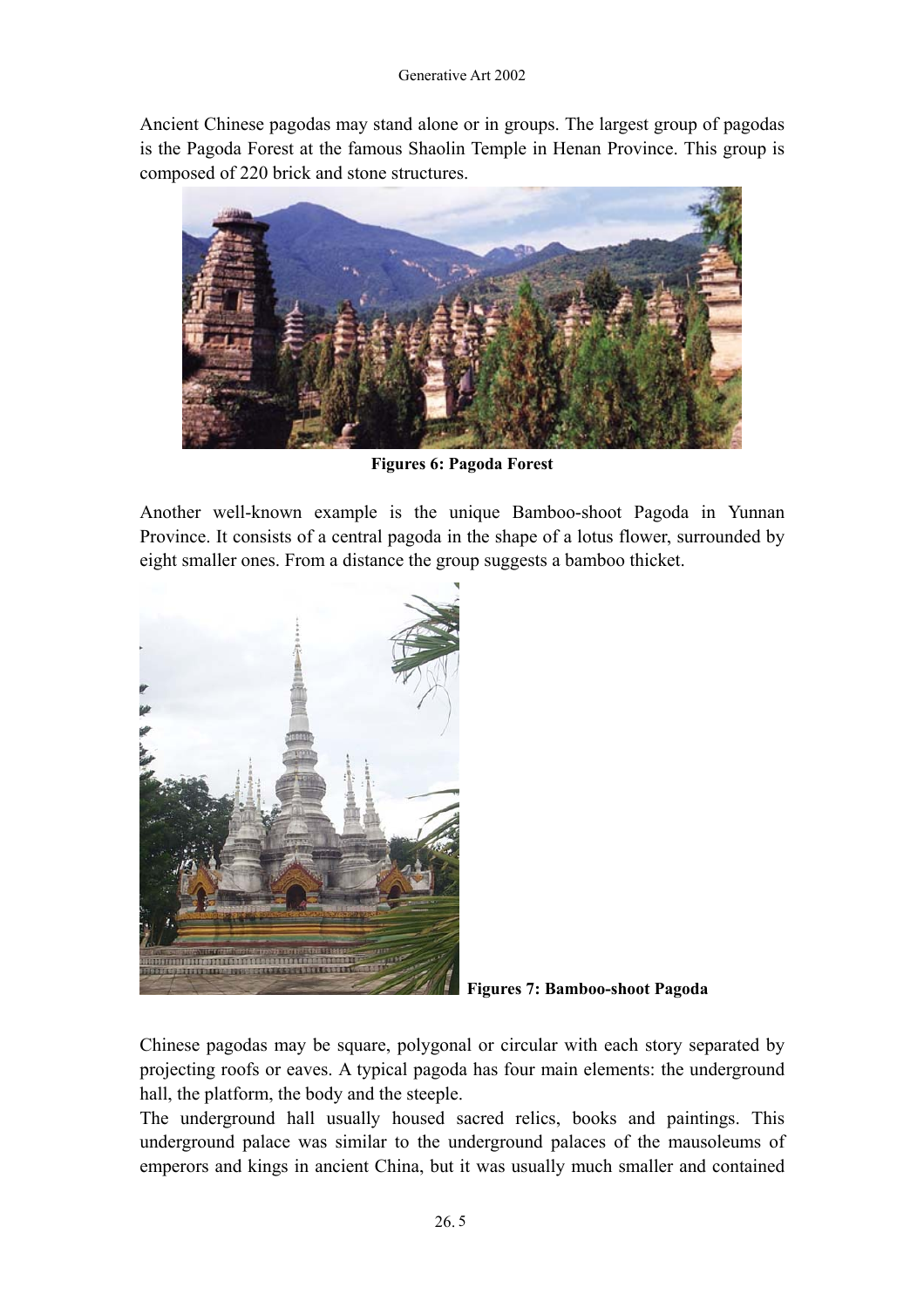Ancient Chinese pagodas may stand alone or in groups. The largest group of pagodas is the Pagoda Forest at the famous Shaolin Temple in Henan Province. This group is composed of 220 brick and stone structures.



**Figures 6: Pagoda Forest** 

Another well-known example is the unique Bamboo-shoot Pagoda in Yunnan Province. It consists of a central pagoda in the shape of a lotus flower, surrounded by eight smaller ones. From a distance the group suggests a bamboo thicket.



**Figures 7: Bamboo-shoot Pagoda** 

Chinese pagodas may be square, polygonal or circular with each story separated by projecting roofs or eaves. A typical pagoda has four main elements: the underground hall, the platform, the body and the steeple.

The underground hall usually housed sacred relics, books and paintings. This underground palace was similar to the underground palaces of the mausoleums of emperors and kings in ancient China, but it was usually much smaller and contained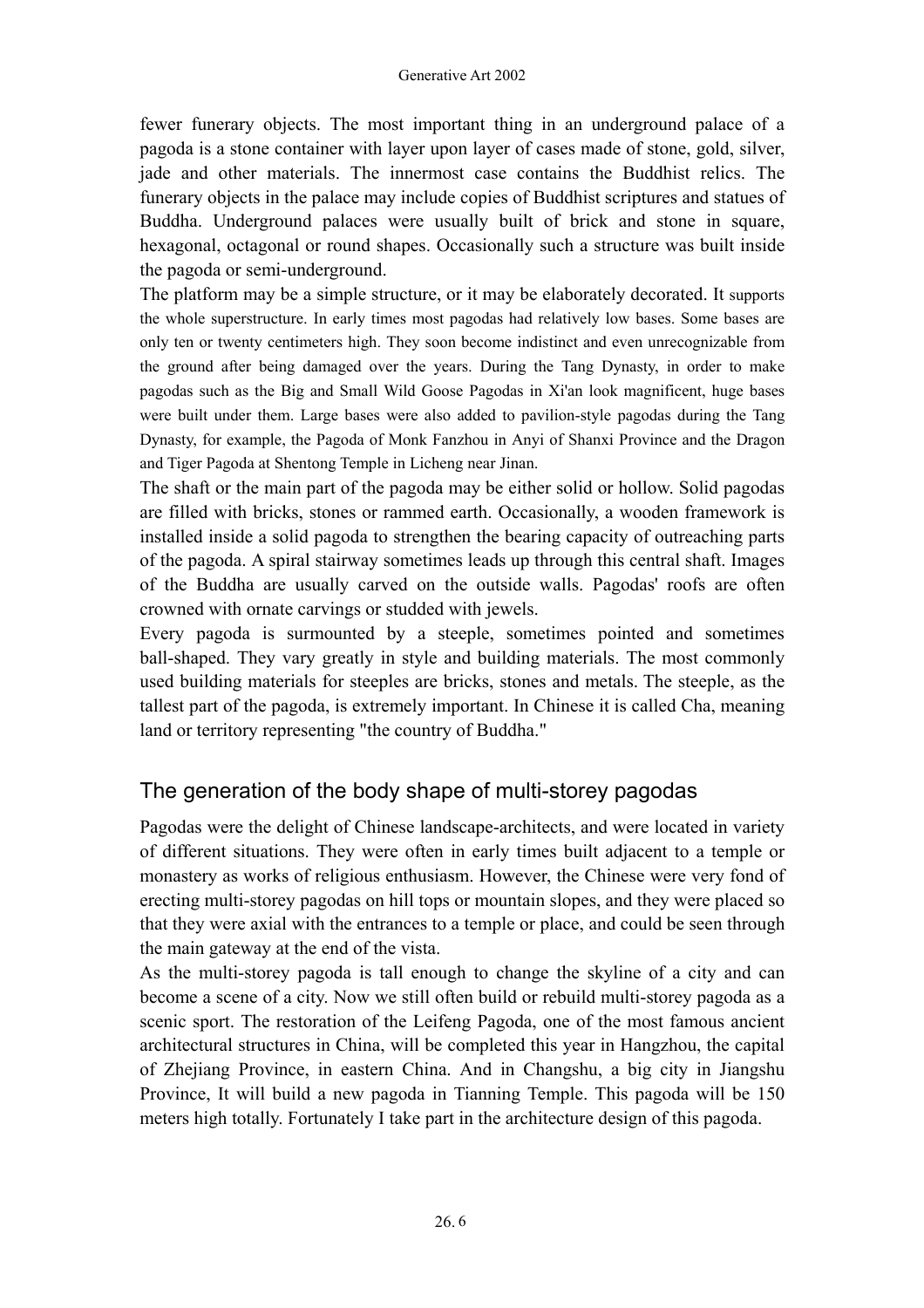fewer funerary objects. The most important thing in an underground palace of a pagoda is a stone container with layer upon layer of cases made of stone, gold, silver, jade and other materials. The innermost case contains the Buddhist relics. The funerary objects in the palace may include copies of Buddhist scriptures and statues of Buddha. Underground palaces were usually built of brick and stone in square, hexagonal, octagonal or round shapes. Occasionally such a structure was built inside the pagoda or semi-underground.

The platform may be a simple structure, or it may be elaborately decorated. It supports the whole superstructure. In early times most pagodas had relatively low bases. Some bases are only ten or twenty centimeters high. They soon become indistinct and even unrecognizable from the ground after being damaged over the years. During the Tang Dynasty, in order to make pagodas such as the Big and Small Wild Goose Pagodas in Xi'an look magnificent, huge bases were built under them. Large bases were also added to pavilion-style pagodas during the Tang Dynasty, for example, the Pagoda of Monk Fanzhou in Anyi of Shanxi Province and the Dragon and Tiger Pagoda at Shentong Temple in Licheng near Jinan.

The shaft or the main part of the pagoda may be either solid or hollow. Solid pagodas are filled with bricks, stones or rammed earth. Occasionally, a wooden framework is installed inside a solid pagoda to strengthen the bearing capacity of outreaching parts of the pagoda. A spiral stairway sometimes leads up through this central shaft. Images of the Buddha are usually carved on the outside walls. Pagodas' roofs are often crowned with ornate carvings or studded with jewels.

Every pagoda is surmounted by a steeple, sometimes pointed and sometimes ball-shaped. They vary greatly in style and building materials. The most commonly used building materials for steeples are bricks, stones and metals. The steeple, as the tallest part of the pagoda, is extremely important. In Chinese it is called Cha, meaning land or territory representing "the country of Buddha."

## The generation of the body shape of multi-storey pagodas

Pagodas were the delight of Chinese landscape-architects, and were located in variety of different situations. They were often in early times built adjacent to a temple or monastery as works of religious enthusiasm. However, the Chinese were very fond of erecting multi-storey pagodas on hill tops or mountain slopes, and they were placed so that they were axial with the entrances to a temple or place, and could be seen through the main gateway at the end of the vista.

As the multi-storey pagoda is tall enough to change the skyline of a city and can become a scene of a city. Now we still often build or rebuild multi-storey pagoda as a scenic sport. The restoration of the Leifeng Pagoda, one of the most famous ancient architectural structures in China, will be completed this year in Hangzhou, the capital of Zhejiang Province, in eastern China. And in Changshu, a big city in Jiangshu Province, It will build a new pagoda in Tianning Temple. This pagoda will be 150 meters high totally. Fortunately I take part in the architecture design of this pagoda.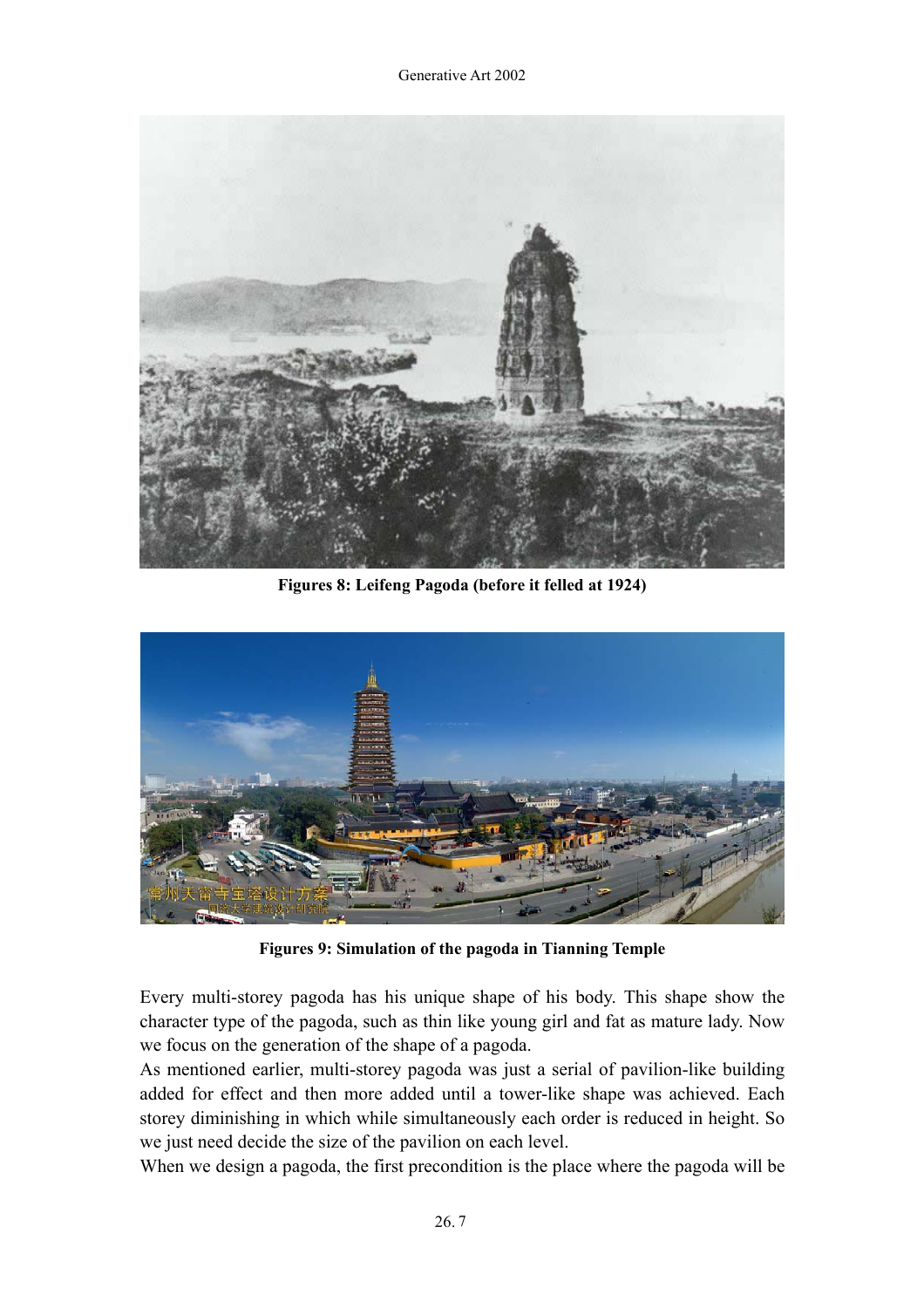

**Figures 8: Leifeng Pagoda (before it felled at 1924)** 



**Figures 9: Simulation of the pagoda in Tianning Temple** 

Every multi-storey pagoda has his unique shape of his body. This shape show the character type of the pagoda, such as thin like young girl and fat as mature lady. Now we focus on the generation of the shape of a pagoda.

As mentioned earlier, multi-storey pagoda was just a serial of pavilion-like building added for effect and then more added until a tower-like shape was achieved. Each storey diminishing in which while simultaneously each order is reduced in height. So we just need decide the size of the pavilion on each level.

When we design a pagoda, the first precondition is the place where the pagoda will be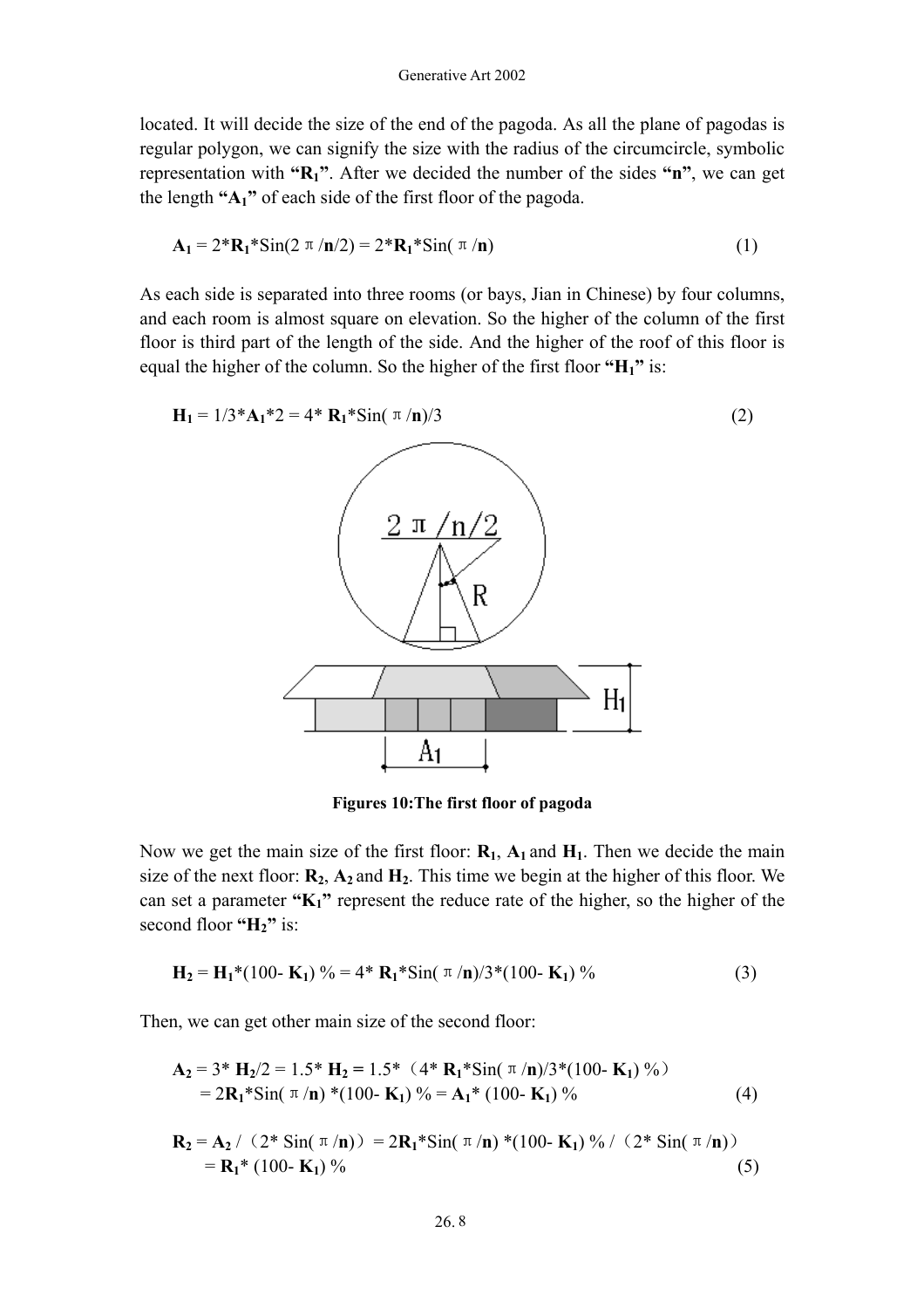located. It will decide the size of the end of the pagoda. As all the plane of pagodas is regular polygon, we can signify the size with the radius of the circumcircle, symbolic representation with **"R1"**. After we decided the number of the sides **"n"**, we can get the length **"A1"** of each side of the first floor of the pagoda.

$$
\mathbf{A}_1 = 2^* \mathbf{R}_1^* \operatorname{Sin}(2 \pi / \mathbf{n}/2) = 2^* \mathbf{R}_1^* \operatorname{Sin}(\pi / \mathbf{n}) \tag{1}
$$

As each side is separated into three rooms (or bays, Jian in Chinese) by four columns, and each room is almost square on elevation. So the higher of the column of the first floor is third part of the length of the side. And the higher of the roof of this floor is equal the higher of the column. So the higher of the first floor **"H1"** is:

$$
H_{1} = 1/3*A_{1}*2 = 4*A_{1}*Sin(\pi/n)/3
$$
\n
$$
2 \pi/n/2
$$
\n
$$
R
$$
\n(2)

**Figures 10:The first floor of pagoda** 

Now we get the main size of the first floor:  $\mathbf{R}_1$ ,  $\mathbf{A}_1$  and  $\mathbf{H}_1$ . Then we decide the main size of the next floor:  $\mathbf{R}_2$ ,  $\mathbf{A}_2$  and  $\mathbf{H}_2$ . This time we begin at the higher of this floor. We can set a parameter **"K1"** represent the reduce rate of the higher, so the higher of the second floor "H<sub>2</sub>" is:

$$
\mathbf{H}_2 = \mathbf{H}_1^*(100 - \mathbf{K}_1) \% = 4^* \mathbf{R}_1^* \sin(\pi/n)/3^*(100 - \mathbf{K}_1) \% \tag{3}
$$

Then, we can get other main size of the second floor:

$$
\mathbf{A_2} = 3 * \mathbf{H_2}/2 = 1.5 * \mathbf{H_2} = 1.5 * (4 * \mathbf{R_1} * \text{Sin}(\pi/n)/3 * (100 - \mathbf{K_1}) % )
$$
  
= 2 $\mathbf{R_1} * \text{Sin}(\pi/n) * (100 - \mathbf{K_1}) % = \mathbf{A_1} * (100 - \mathbf{K_1}) %$  (4)

$$
\mathbf{R}_2 = \mathbf{A}_2 / (2 \cdot \sin(\pi/n)) = 2\mathbf{R}_1 \cdot \sin(\pi/n) \cdot (100 - \mathbf{K}_1) \% / (2 \cdot \sin(\pi/n))
$$
  
=  $\mathbf{R}_1 \cdot (100 - \mathbf{K}_1) \% (5)$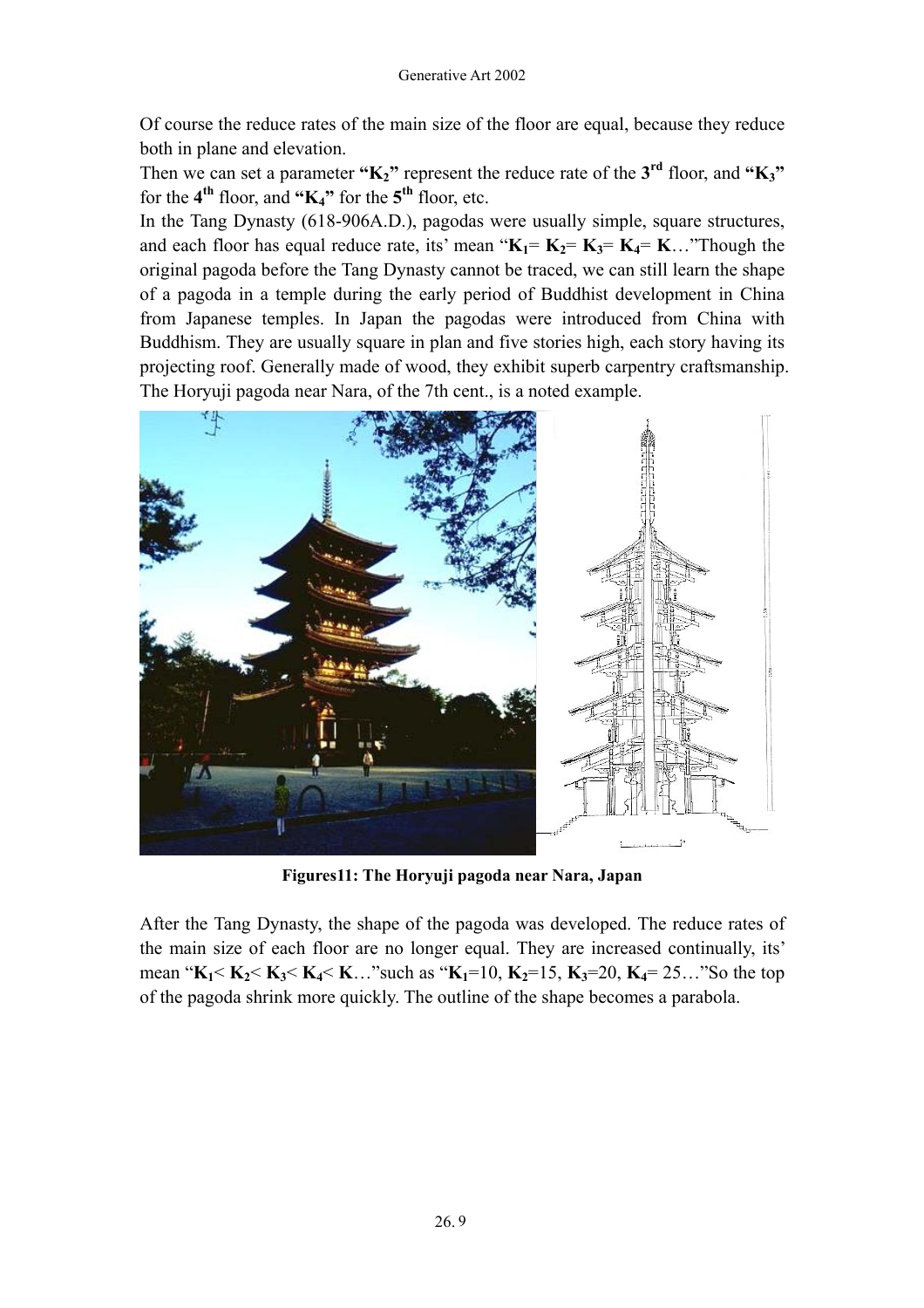Of course the reduce rates of the main size of the floor are equal, because they reduce both in plane and elevation.

Then we can set a parameter "K<sub>2</sub>" represent the reduce rate of the 3<sup>rd</sup> floor, and "K<sub>3</sub>" for the  $4<sup>th</sup>$  floor, and " $K_4$ " for the  $5<sup>th</sup>$  floor, etc.

In the Tang Dynasty (618-906A.D.), pagodas were usually simple, square structures, and each floor has equal reduce rate, its' mean " $K_1 = K_2 = K_3 = K_4 = K_3$ ..."Though the original pagoda before the Tang Dynasty cannot be traced, we can still learn the shape of a pagoda in a temple during the early period of Buddhist development in China from Japanese temples. In Japan the pagodas were introduced from China with Buddhism. They are usually square in plan and five stories high, each story having its projecting roof. Generally made of wood, they exhibit superb carpentry craftsmanship. The Horyuji pagoda near Nara, of the 7th cent., is a noted example.



**Figures11: The Horyuji pagoda near Nara, Japan** 

After the Tang Dynasty, the shape of the pagoda was developed. The reduce rates of the main size of each floor are no longer equal. They are increased continually, its' mean " $K_1 < K_2 < K_3 < K_4 < K \dots$ "such as " $K_1 = 10$ ,  $K_2 = 15$ ,  $K_3 = 20$ ,  $K_4 = 25 \dots$ "So the top of the pagoda shrink more quickly. The outline of the shape becomes a parabola.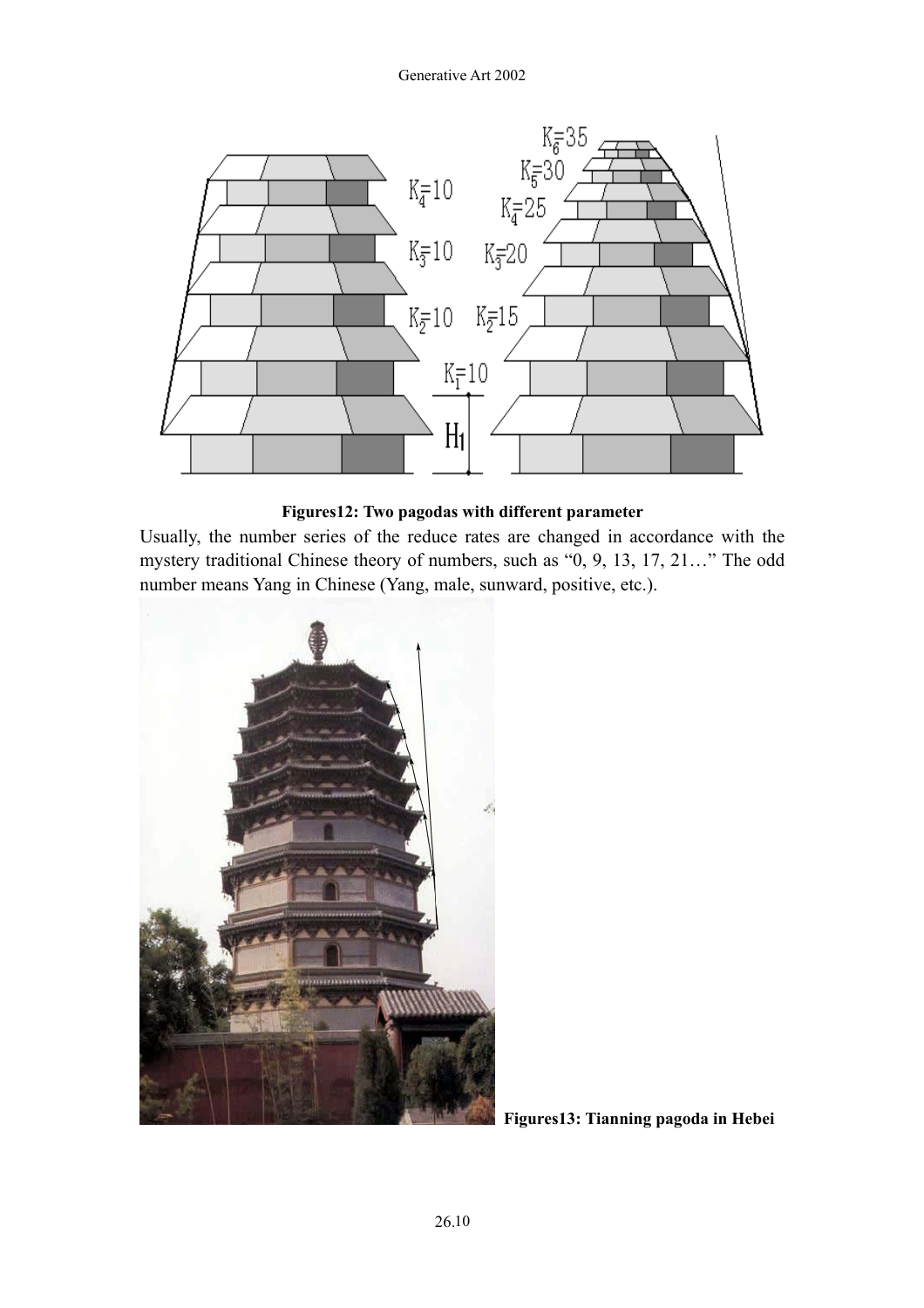

**Figures12: Two pagodas with different parameter**

Usually, the number series of the reduce rates are changed in accordance with the mystery traditional Chinese theory of numbers, such as "0, 9, 13, 17, 21…" The odd number means Yang in Chinese (Yang, male, sunward, positive, etc.).



**Figures13: Tianning pagoda in Hebei**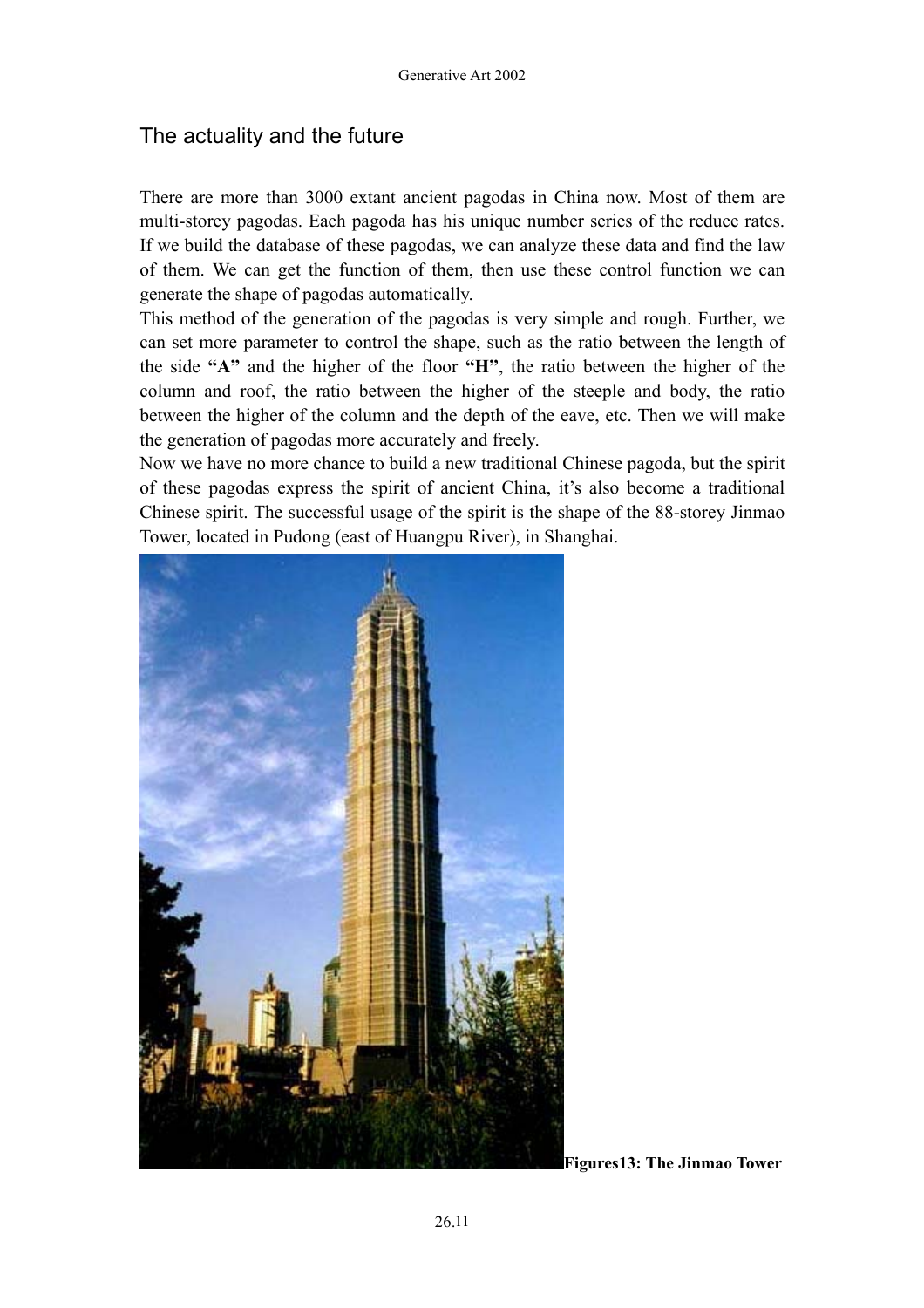### The actuality and the future

There are more than 3000 extant ancient pagodas in China now. Most of them are multi-storey pagodas. Each pagoda has his unique number series of the reduce rates. If we build the database of these pagodas, we can analyze these data and find the law of them. We can get the function of them, then use these control function we can generate the shape of pagodas automatically.

This method of the generation of the pagodas is very simple and rough. Further, we can set more parameter to control the shape, such as the ratio between the length of the side **"A"** and the higher of the floor **"H"**, the ratio between the higher of the column and roof, the ratio between the higher of the steeple and body, the ratio between the higher of the column and the depth of the eave, etc. Then we will make the generation of pagodas more accurately and freely.

Now we have no more chance to build a new traditional Chinese pagoda, but the spirit of these pagodas express the spirit of ancient China, it's also become a traditional Chinese spirit. The successful usage of the spirit is the shape of the 88-storey Jinmao Tower, located in Pudong (east of Huangpu River), in Shanghai.



**Figures13: The Jinmao Tower**